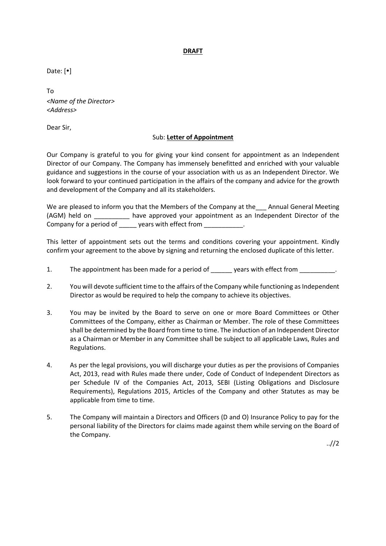## **DRAFT**

Date:  $[•]$ 

To *<Name of the Director> <Address>*

Dear Sir,

## Sub: **Letter of Appointment**

Our Company is grateful to you for giving your kind consent for appointment as an Independent Director of our Company. The Company has immensely benefitted and enriched with your valuable guidance and suggestions in the course of your association with us as an Independent Director. We look forward to your continued participation in the affairs of the company and advice for the growth and development of the Company and all its stakeholders.

We are pleased to inform you that the Members of the Company at the Annual General Meeting (AGM) held on \_\_\_\_\_\_\_\_\_\_ have approved your appointment as an Independent Director of the Company for a period of vears with effect from

This letter of appointment sets out the terms and conditions covering your appointment. Kindly confirm your agreement to the above by signing and returning the enclosed duplicate of this letter.

- 1. The appointment has been made for a period of early years with effect from
- 2. You will devote sufficient time to the affairs of the Company while functioning as Independent Director as would be required to help the company to achieve its objectives.
- 3. You may be invited by the Board to serve on one or more Board Committees or Other Committees of the Company, either as Chairman or Member. The role of these Committees shall be determined by the Board from time to time. The induction of an Independent Director as a Chairman or Member in any Committee shall be subject to all applicable Laws, Rules and Regulations.
- 4. As per the legal provisions, you will discharge your duties as per the provisions of Companies Act, 2013, read with Rules made there under, Code of Conduct of Independent Directors as per Schedule IV of the Companies Act, 2013, SEBI (Listing Obligations and Disclosure Requirements), Regulations 2015, Articles of the Company and other Statutes as may be applicable from time to time.
- 5. The Company will maintain a Directors and Officers (D and O) Insurance Policy to pay for the personal liability of the Directors for claims made against them while serving on the Board of the Company.

 $.1/2$